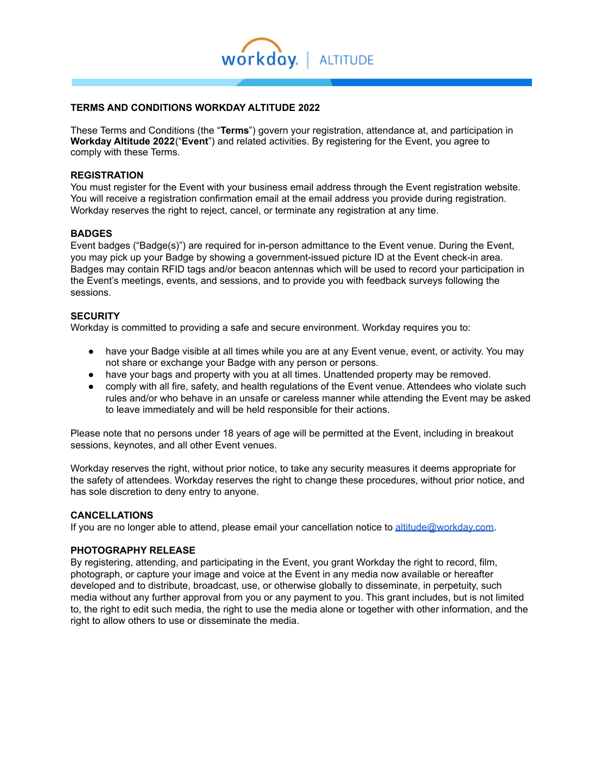

# **TERMS AND CONDITIONS WORKDAY ALTITUDE 2022**

These Terms and Conditions (the "**Terms**") govern your registration, attendance at, and participation in **Workday Altitude 2022**("**Event**") and related activities. By registering for the Event, you agree to comply with these Terms.

#### **REGISTRATION**

You must register for the Event with your business email address through the Event registration website. You will receive a registration confirmation email at the email address you provide during registration. Workday reserves the right to reject, cancel, or terminate any registration at any time.

#### **BADGES**

Event badges ("Badge(s)") are required for in-person admittance to the Event venue. During the Event, you may pick up your Badge by showing a government-issued picture ID at the Event check-in area. Badges may contain RFID tags and/or beacon antennas which will be used to record your participation in the Event's meetings, events, and sessions, and to provide you with feedback surveys following the sessions.

#### **SECURITY**

Workday is committed to providing a safe and secure environment. Workday requires you to:

- have your Badge visible at all times while you are at any Event venue, event, or activity. You may not share or exchange your Badge with any person or persons.
- have your bags and property with you at all times. Unattended property may be removed.
- comply with all fire, safety, and health regulations of the Event venue. Attendees who violate such rules and/or who behave in an unsafe or careless manner while attending the Event may be asked to leave immediately and will be held responsible for their actions.

Please note that no persons under 18 years of age will be permitted at the Event, including in breakout sessions, keynotes, and all other Event venues.

Workday reserves the right, without prior notice, to take any security measures it deems appropriate for the safety of attendees. Workday reserves the right to change these procedures, without prior notice, and has sole discretion to deny entry to anyone.

#### **CANCELLATIONS**

If you are no longer able to attend, please email your cancellation notice to [altitude@workday.com.](mailto:altitude@workday.com?subject=Workday%20SKO%20Inquiry)

### **PHOTOGRAPHY RELEASE**

By registering, attending, and participating in the Event, you grant Workday the right to record, film, photograph, or capture your image and voice at the Event in any media now available or hereafter developed and to distribute, broadcast, use, or otherwise globally to disseminate, in perpetuity, such media without any further approval from you or any payment to you. This grant includes, but is not limited to, the right to edit such media, the right to use the media alone or together with other information, and the right to allow others to use or disseminate the media.